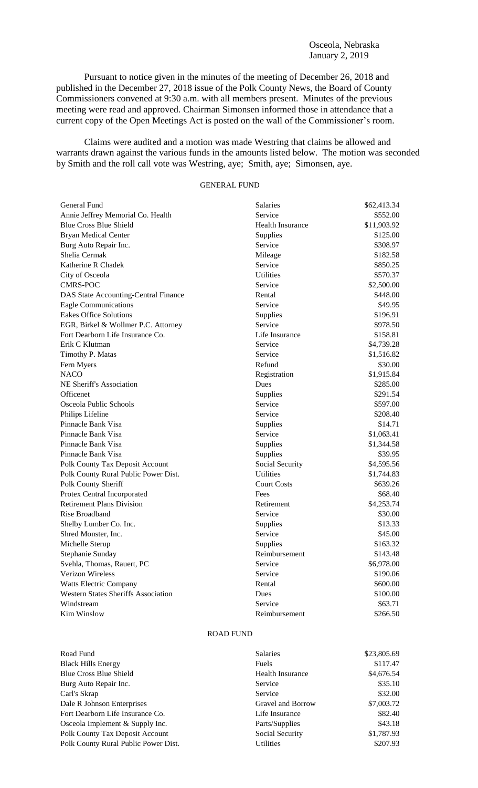Pursuant to notice given in the minutes of the meeting of December 26, 2018 and published in the December 27, 2018 issue of the Polk County News, the Board of County Commissioners convened at 9:30 a.m. with all members present. Minutes of the previous meeting were read and approved. Chairman Simonsen informed those in attendance that a current copy of the Open Meetings Act is posted on the wall of the Commissioner's room.

Claims were audited and a motion was made Westring that claims be allowed and warrants drawn against the various funds in the amounts listed below. The motion was seconded by Smith and the roll call vote was Westring, aye; Smith, aye; Simonsen, aye.

# GENERAL FUND

| General Fund                               | <b>Salaries</b>         | \$62,413.34 |
|--------------------------------------------|-------------------------|-------------|
| Annie Jeffrey Memorial Co. Health          | Service                 | \$552.00    |
| <b>Blue Cross Blue Shield</b>              | <b>Health Insurance</b> | \$11,903.92 |
| <b>Bryan Medical Center</b>                | Supplies                | \$125.00    |
| Burg Auto Repair Inc.                      | Service                 | \$308.97    |
| Shelia Cermak                              | Mileage                 | \$182.58    |
| Katherine R Chadek                         | Service                 | \$850.25    |
| City of Osceola                            | Utilities               | \$570.37    |
| <b>CMRS-POC</b>                            | Service                 | \$2,500.00  |
| DAS State Accounting-Central Finance       | Rental                  | \$448.00    |
| <b>Eagle Communications</b>                | Service                 | \$49.95     |
| <b>Eakes Office Solutions</b>              | Supplies                | \$196.91    |
| EGR, Birkel & Wollmer P.C. Attorney        | Service                 | \$978.50    |
| Fort Dearborn Life Insurance Co.           | Life Insurance          | \$158.81    |
| Erik C Klutman                             | Service                 | \$4,739.28  |
| Timothy P. Matas                           | Service                 | \$1,516.82  |
| Fern Myers                                 | Refund                  | \$30.00     |
| <b>NACO</b>                                | Registration            | \$1,915.84  |
| NE Sheriff's Association                   | Dues                    | \$285.00    |
| Officenet                                  | Supplies                | \$291.54    |
| Osceola Public Schools                     | Service                 | \$597.00    |
| Philips Lifeline                           | Service                 | \$208.40    |
| Pinnacle Bank Visa                         | Supplies                | \$14.71     |
| Pinnacle Bank Visa                         | Service                 | \$1,063.41  |
| Pinnacle Bank Visa                         | Supplies                | \$1,344.58  |
| Pinnacle Bank Visa                         | Supplies                | \$39.95     |
| Polk County Tax Deposit Account            | Social Security         | \$4,595.56  |
| Polk County Rural Public Power Dist.       | <b>Utilities</b>        | \$1,744.83  |
| Polk County Sheriff                        | <b>Court Costs</b>      | \$639.26    |
| Protex Central Incorporated                | Fees                    | \$68.40     |
| <b>Retirement Plans Division</b>           | Retirement              | \$4,253.74  |
| Rise Broadband                             | Service                 | \$30.00     |
| Shelby Lumber Co. Inc.                     | Supplies                | \$13.33     |
| Shred Monster, Inc.                        | Service                 | \$45.00     |
| Michelle Sterup                            | Supplies                | \$163.32    |
| Stephanie Sunday                           | Reimbursement           | \$143.48    |
| Svehla, Thomas, Rauert, PC                 | Service                 | \$6,978.00  |
| Verizon Wireless                           | Service                 | \$190.06    |
| <b>Watts Electric Company</b>              | Rental                  | \$600.00    |
| <b>Western States Sheriffs Association</b> | Dues                    | \$100.00    |
| Windstream                                 | Service                 | \$63.71     |
| Kim Winslow                                | Reimbursement           | \$266.50    |

### ROAD FUND

| Road Fund                              | <b>Salaries</b>         | \$23,805.69 |
|----------------------------------------|-------------------------|-------------|
| <b>Black Hills Energy</b>              | Fuels                   | \$117.47    |
| Blue Cross Blue Shield                 | <b>Health Insurance</b> | \$4,676.54  |
| Burg Auto Repair Inc.                  | Service                 | \$35.10     |
| Carl's Skrap                           | Service                 | \$32.00     |
| Dale R Johnson Enterprises             | Gravel and Borrow       | \$7,003.72  |
| Fort Dearborn Life Insurance Co.       | Life Insurance          | \$82.40     |
| Osceola Implement & Supply Inc.        | Parts/Supplies          | \$43.18     |
| <b>Polk County Tax Deposit Account</b> | Social Security         | \$1,787.93  |
| Polk County Rural Public Power Dist.   | Utilities               | \$207.93    |